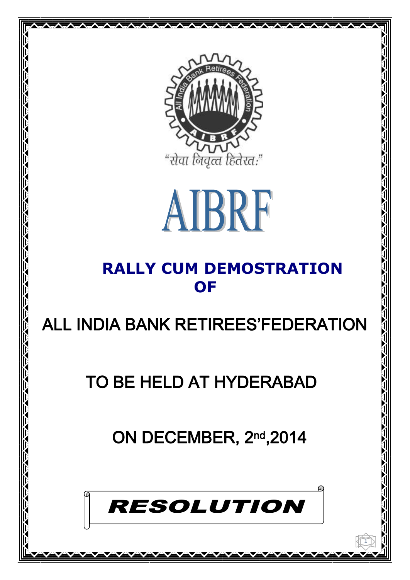



### **RALLY CUM DEMOSTRATION OF**

# ALL INDIA BANK RETIREES'FEDERATION

## TO BE HELD AT HYDERABAD

ON DECEMBER, 2nd, 2014



1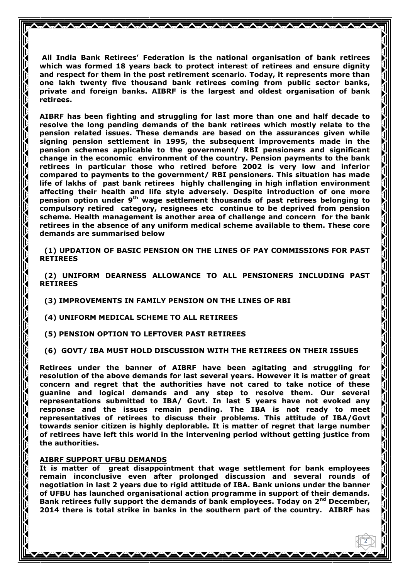**All India Bank Retirees' Federation is the national organisation of bank retirees which was formed 18 years back to protect interest of retirees and ensure dignity and respect for them in the post retirement scenario. Today, it represents more than one lakh twenty five thousand bank retirees coming from public sector banks, private and foreign banks. AIBRF is the largest and oldest organisation of bank retirees.**

**AIBRF has been fighting and struggling for last more than one and half decade to resolve the long pending demands of the bank retirees which mostly relate to the pension related issues. These demands are based on the assurances given while signing pension settlement in 1995, the subsequent improvements made in the pension schemes applicable to the government/ RBI pensioners and significant change in the economic environment of the country. Pension payments to the bank retirees in particular those who retired before 2002 is very low and inferior compared to payments to the government/ RBI pensioners. This situation has made life of lakhs of past bank retirees highly challenging in high inflation environment affecting their health and life style adversely. Despite introduction of one more pension option under 9th wage settlement thousands of past retirees belonging to compulsory retired category, resignees etc continue to be deprived from pension scheme. Health management is another area of challenge and concern for the bank retirees in the absence of any uniform medical scheme available to them. These core demands are summarised below**

 **(1) UPDATION OF BASIC PENSION ON THE LINES OF PAY COMMISSIONS FOR PAST RETIREES**

 **(2) UNIFORM DEARNESS ALLOWANCE TO ALL PENSIONERS INCLUDING PAST RETIREES**

 **(3) IMPROVEMENTS IN FAMILY PENSION ON THE LINES OF RBI**

 **(4) UNIFORM MEDICAL SCHEME TO ALL RETIREES**

 **(5) PENSION OPTION TO LEFTOVER PAST RETIREES**

 **(6) GOVT/ IBA MUST HOLD DISCUSSION WITH THE RETIREES ON THEIR ISSUES**

**Retirees under the banner of AIBRF have been agitating and struggling for resolution of the above demands for last several years. However it is matter of great concern and regret that the authorities have not cared to take notice of these guanine and logical demands and any step to resolve them. Our several representations submitted to IBA/ Govt. In last 5 years have not evoked any response and the issues remain pending. The IBA is not ready to meet representatives of retirees to discuss their problems. This attitude of IBA/Govt towards senior citizen is highly deplorable. It is matter of regret that large number of retirees have left this world in the intervening period without getting justice from the authorities.**

#### **AIBRF SUPPORT UFBU DEMANDS**

**It is matter of great disappointment that wage settlement for bank employees remain inconclusive even after prolonged discussion and several rounds of negotiation in last 2 years due to rigid attitude of IBA. Bank unions under the banner of UFBU has launched organisational action programme in support of their demands. Bank retirees fully support the demands of bank employees. Today on 2nd December, 2014 there is total strike in banks in the southern part of the country. AIBRF has** 

2